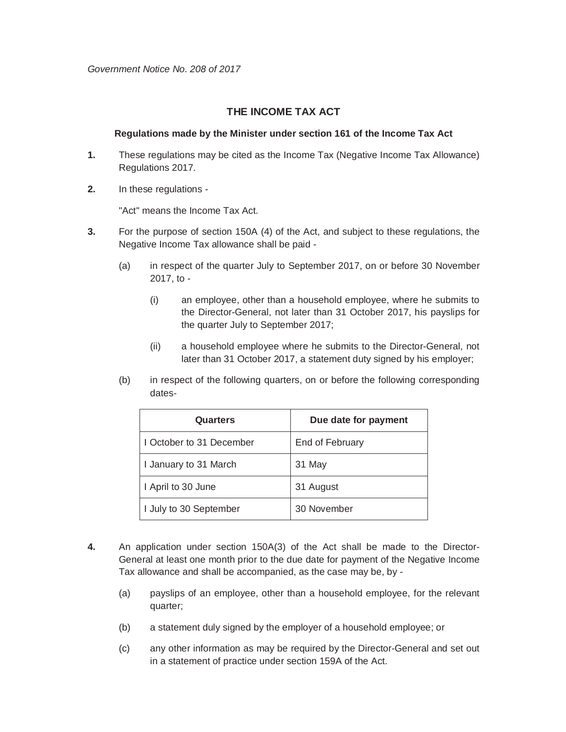## **THE INCOME TAX ACT**

## **Regulations made by the Minister under section 161 of the Income Tax Act**

- **1.** These regulations may be cited as the Income Tax (Negative Income Tax Allowance) Regulations 2017.
- **2.** In these regulations -

"Act" means the Income Tax Act.

- **3.** For the purpose of section 150A (4) of the Act, and subject to these regulations, the Negative Income Tax allowance shall be paid -
	- (a) in respect of the quarter July to September 2017, on or before 30 November 2017, to -
		- (i) an employee, other than a household employee, where he submits to the Director-General, not later than 31 October 2017, his payslips for the quarter July to September 2017;
		- (ii) a household employee where he submits to the Director-General, not later than 31 October 2017, a statement duty signed by his employer;
	- (b) in respect of the following quarters, on or before the following corresponding dates-

| Quarters                 | Due date for payment |
|--------------------------|----------------------|
| I October to 31 December | End of February      |
| I January to 31 March    | 31 May               |
| I April to 30 June       | 31 August            |
| I July to 30 September   | 30 November          |

- **4.** An application under section 150A(3) of the Act shall be made to the Director-General at least one month prior to the due date for payment of the Negative Income Tax allowance and shall be accompanied, as the case may be, by -
	- (a) payslips of an employee, other than a household employee, for the relevant quarter;
	- (b) a statement duly signed by the employer of a household employee; or
	- (c) any other information as may be required by the Director-General and set out in a statement of practice under section 159A of the Act.